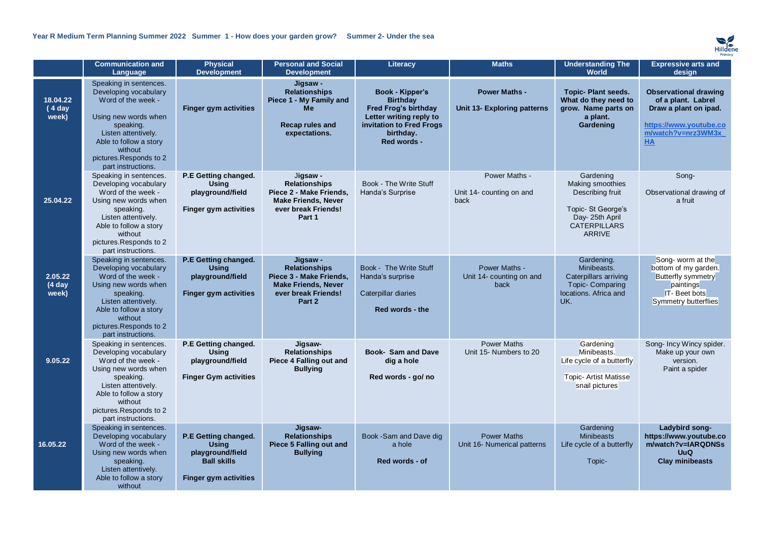

|                              | <b>Communication and</b><br>Language                                                                                                                                                                                   | <b>Physical</b><br><b>Development</b>                                                                          | <b>Personal and Social</b><br><b>Development</b>                                                                           | Literacy                                                                                                                                      | <b>Maths</b>                                               | <b>Understanding The</b><br><b>World</b>                                                                                                | <b>Expressive arts and</b><br>design                                                                                              |
|------------------------------|------------------------------------------------------------------------------------------------------------------------------------------------------------------------------------------------------------------------|----------------------------------------------------------------------------------------------------------------|----------------------------------------------------------------------------------------------------------------------------|-----------------------------------------------------------------------------------------------------------------------------------------------|------------------------------------------------------------|-----------------------------------------------------------------------------------------------------------------------------------------|-----------------------------------------------------------------------------------------------------------------------------------|
| 18.04.22<br>(4 day<br>week)  | Speaking in sentences.<br>Developing vocabulary<br>Word of the week -<br>Using new words when<br>speaking.<br>Listen attentively.<br>Able to follow a story<br>without<br>pictures.Responds to 2<br>part instructions. | <b>Finger gym activities</b>                                                                                   | Jigsaw -<br><b>Relationships</b><br>Piece 1 - My Family and<br>Me<br>Recap rules and<br>expectations.                      | Book - Kipper's<br><b>Birthday</b><br>Fred Frog's birthday<br>Letter writing reply to<br>invitation to Fred Frogs<br>birthday.<br>Red words - | <b>Power Maths -</b><br><b>Unit 13- Exploring patterns</b> | <b>Topic-Plant seeds.</b><br>What do they need to<br>grow. Name parts on<br>a plant.<br>Gardening                                       | <b>Observational drawing</b><br>of a plant. Labrel<br>Draw a plant on ipad.<br>https://www.youtube.co<br>m/watch?v=nrz3WM3x<br>HA |
| 25.04.22                     | Speaking in sentences.<br>Developing vocabulary<br>Word of the week -<br>Using new words when<br>speaking.<br>Listen attentively.<br>Able to follow a story<br>without<br>pictures.Responds to 2<br>part instructions. | P.E Getting changed.<br><b>Using</b><br>playground/field<br><b>Finger gym activities</b>                       | Jigsaw -<br><b>Relationships</b><br>Piece 2 - Make Friends,<br><b>Make Friends, Never</b><br>ever break Friends!<br>Part 1 | Book - The Write Stuff<br>Handa's Surprise                                                                                                    | Power Maths -<br>Unit 14- counting on and<br>back          | Gardening<br><b>Making smoothies</b><br>Describing fruit<br>Topic-St George's<br>Day-25th April<br><b>CATERPILLARS</b><br><b>ARRIVE</b> | Song-<br>Observational drawing of<br>a fruit                                                                                      |
| 2.05.22<br>$(4$ day<br>week) | Speaking in sentences.<br>Developing vocabulary<br>Word of the week -<br>Using new words when<br>speaking.<br>Listen attentively.<br>Able to follow a story<br>without<br>pictures.Responds to 2<br>part instructions. | P.E Getting changed.<br>Using<br>playground/field<br><b>Finger gym activities</b>                              | Jigsaw -<br><b>Relationships</b><br>Piece 3 - Make Friends,<br><b>Make Friends, Never</b><br>ever break Friends!<br>Part 2 | Book - The Write Stuff<br>Handa's surprise<br>Caterpillar diaries<br>Red words - the                                                          | Power Maths -<br>Unit 14- counting on and<br>back          | Gardening.<br>Minibeasts.<br>Caterpillars arriving<br><b>Topic-Comparing</b><br>locations. Africa and<br>UK.                            | Song- worm at the<br>bottom of my garden.<br>Butterfly symmetry<br>paintings<br>IT- Beet bots<br>Symmetry butterflies             |
| 9.05.22                      | Speaking in sentences.<br>Developing vocabulary<br>Word of the week -<br>Using new words when<br>speaking.<br>Listen attentively.<br>Able to follow a story<br>without<br>pictures.Responds to 2<br>part instructions. | P.E Getting changed.<br>Using<br>playground/field<br><b>Finger Gym activities</b>                              | Jigsaw-<br><b>Relationships</b><br>Piece 4 Falling out and<br><b>Bullying</b>                                              | <b>Book- Sam and Dave</b><br>dig a hole<br>Red words - go/ no                                                                                 | <b>Power Maths</b><br>Unit 15- Numbers to 20               | Gardening<br>Minibeasts.<br>Life cycle of a butterfly<br><b>Topic- Artist Matisse</b><br>snail pictures                                 | Song-Incy Wincy spider.<br>Make up your own<br>version.<br>Paint a spider                                                         |
| 16.05.22                     | Speaking in sentences.<br>Developing vocabulary<br>Word of the week -<br>Using new words when<br>speaking.<br>Listen attentively.<br>Able to follow a story<br>without                                                 | P.E Getting changed.<br><b>Using</b><br>playground/field<br><b>Ball skills</b><br><b>Finger gym activities</b> | Jigsaw-<br><b>Relationships</b><br>Piece 5 Falling out and<br><b>Bullying</b>                                              | Book -Sam and Dave dig<br>a hole<br>Red words - of                                                                                            | <b>Power Maths</b><br>Unit 16- Numerical patterns          | Gardening<br><b>Minibeasts</b><br>Life cycle of a butterfly<br>Topic-                                                                   | Ladybird song-<br>https://www.youtube.co<br>m/watch?v=IARQDNSs<br><b>UuQ</b><br><b>Clay minibeasts</b>                            |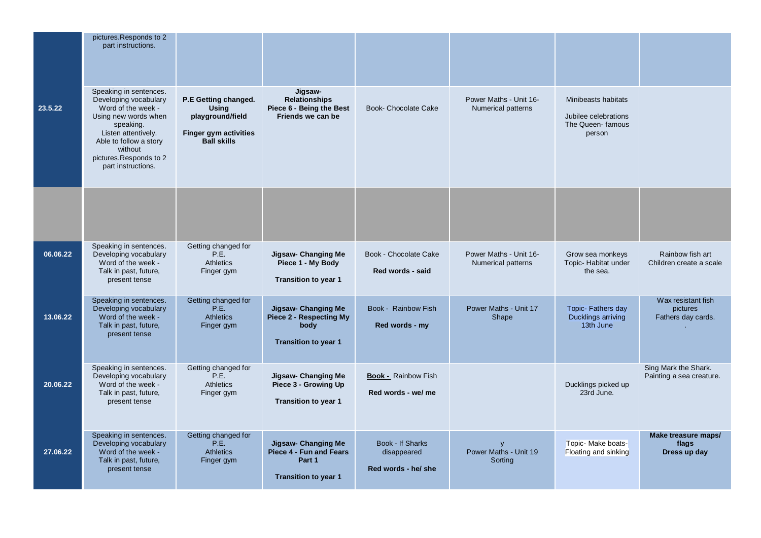|          | pictures.Responds to 2<br>part instructions.                                                                                                                                                                           |                                                                                                                |                                                                                                |                                                        |                                              |                                                                           |                                                      |
|----------|------------------------------------------------------------------------------------------------------------------------------------------------------------------------------------------------------------------------|----------------------------------------------------------------------------------------------------------------|------------------------------------------------------------------------------------------------|--------------------------------------------------------|----------------------------------------------|---------------------------------------------------------------------------|------------------------------------------------------|
| 23.5.22  | Speaking in sentences.<br>Developing vocabulary<br>Word of the week -<br>Using new words when<br>speaking.<br>Listen attentively.<br>Able to follow a story<br>without<br>pictures.Responds to 2<br>part instructions. | P.E Getting changed.<br><b>Using</b><br>playground/field<br><b>Finger gym activities</b><br><b>Ball skills</b> | Jigsaw-<br><b>Relationships</b><br>Piece 6 - Being the Best<br>Friends we can be               | <b>Book- Chocolate Cake</b>                            | Power Maths - Unit 16-<br>Numerical patterns | Minibeasts habitats<br>Jubilee celebrations<br>The Queen-famous<br>person |                                                      |
|          |                                                                                                                                                                                                                        |                                                                                                                |                                                                                                |                                                        |                                              |                                                                           |                                                      |
| 06.06.22 | Speaking in sentences.<br>Developing vocabulary<br>Word of the week -<br>Talk in past, future,<br>present tense                                                                                                        | Getting changed for<br>P.E.<br><b>Athletics</b><br>Finger gym                                                  | Jigsaw- Changing Me<br>Piece 1 - My Body<br>Transition to year 1                               | Book - Chocolate Cake<br>Red words - said              | Power Maths - Unit 16-<br>Numerical patterns | Grow sea monkeys<br>Topic- Habitat under<br>the sea.                      | Rainbow fish art<br>Children create a scale          |
| 13.06.22 | Speaking in sentences.<br>Developing vocabulary<br>Word of the week -<br>Talk in past, future,<br>present tense                                                                                                        | Getting changed for<br>P.E.<br><b>Athletics</b><br>Finger gym                                                  | Jigsaw- Changing Me<br><b>Piece 2 - Respecting My</b><br>body<br><b>Transition to year 1</b>   | Book - Rainbow Fish<br>Red words - my                  | Power Maths - Unit 17<br>Shape               | <b>Topic- Fathers day</b><br>Ducklings arriving<br>13th June              | Wax resistant fish<br>pictures<br>Fathers day cards. |
| 20.06.22 | Speaking in sentences.<br>Developing vocabulary<br>Word of the week -<br>Talk in past, future,<br>present tense                                                                                                        | Getting changed for<br>P.E.<br><b>Athletics</b><br>Finger gym                                                  | Jigsaw- Changing Me<br>Piece 3 - Growing Up<br>Transition to year 1                            | <b>Book - Rainbow Fish</b><br>Red words - we/ me       |                                              | Ducklings picked up<br>23rd June.                                         | Sing Mark the Shark.<br>Painting a sea creature.     |
| 27.06.22 | Speaking in sentences.<br>Developing vocabulary<br>Word of the week -<br>Talk in past, future,<br>present tense                                                                                                        | Getting changed for<br>P.E.<br>Athletics<br>Finger gym                                                         | <b>Jigsaw- Changing Me</b><br>Piece 4 - Fun and Fears<br>Part 1<br><b>Transition to year 1</b> | Book - If Sharks<br>disappeared<br>Red words - he/ she | Power Maths - Unit 19<br>Sorting             | Topic- Make boats-<br>Floating and sinking                                | Make treasure maps/<br>flags<br>Dress up day         |